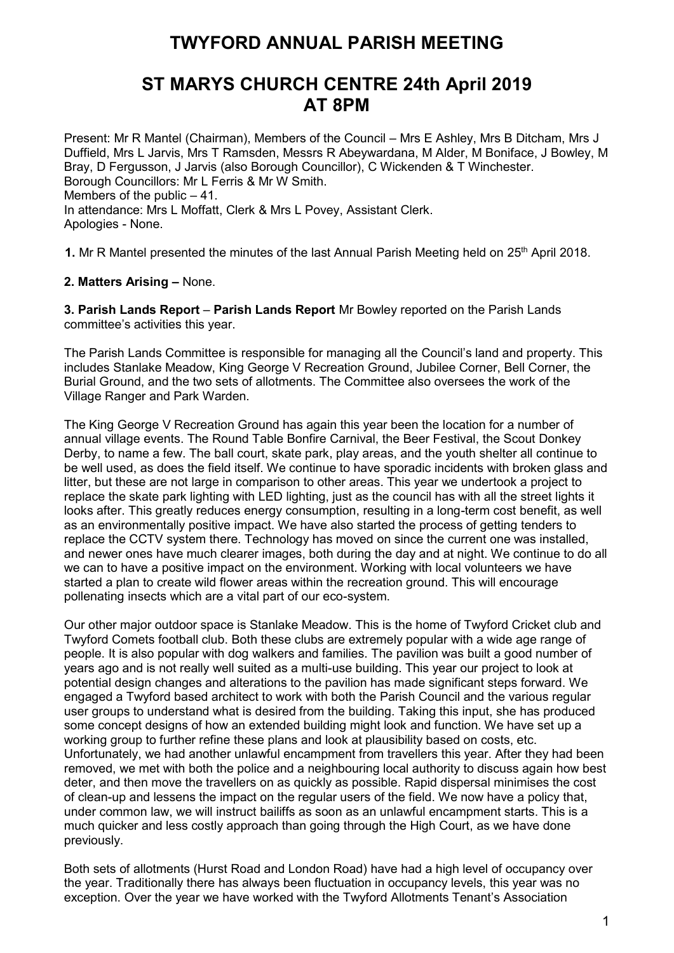# **TWYFORD ANNUAL PARISH MEETING**

# **ST MARYS CHURCH CENTRE 24th April 2019 AT 8PM**

Present: Mr R Mantel (Chairman), Members of the Council – Mrs E Ashley, Mrs B Ditcham, Mrs J Duffield, Mrs L Jarvis, Mrs T Ramsden, Messrs R Abeywardana, M Alder, M Boniface, J Bowley, M Bray, D Fergusson, J Jarvis (also Borough Councillor), C Wickenden & T Winchester. Borough Councillors: Mr L Ferris & Mr W Smith. Members of the public  $-41$ . In attendance: Mrs L Moffatt, Clerk & Mrs L Povey, Assistant Clerk. Apologies - None.

1. Mr R Mantel presented the minutes of the last Annual Parish Meeting held on 25<sup>th</sup> April 2018.

### **2. Matters Arising –** None.

**3. Parish Lands Report** – **Parish Lands Report** Mr Bowley reported on the Parish Lands committee's activities this year.

The Parish Lands Committee is responsible for managing all the Council's land and property. This includes Stanlake Meadow, King George V Recreation Ground, Jubilee Corner, Bell Corner, the Burial Ground, and the two sets of allotments. The Committee also oversees the work of the Village Ranger and Park Warden.

The King George V Recreation Ground has again this year been the location for a number of annual village events. The Round Table Bonfire Carnival, the Beer Festival, the Scout Donkey Derby, to name a few. The ball court, skate park, play areas, and the youth shelter all continue to be well used, as does the field itself. We continue to have sporadic incidents with broken glass and litter, but these are not large in comparison to other areas. This year we undertook a project to replace the skate park lighting with LED lighting, just as the council has with all the street lights it looks after. This greatly reduces energy consumption, resulting in a long-term cost benefit, as well as an environmentally positive impact. We have also started the process of getting tenders to replace the CCTV system there. Technology has moved on since the current one was installed, and newer ones have much clearer images, both during the day and at night. We continue to do all we can to have a positive impact on the environment. Working with local volunteers we have started a plan to create wild flower areas within the recreation ground. This will encourage pollenating insects which are a vital part of our eco-system.

Our other major outdoor space is Stanlake Meadow. This is the home of Twyford Cricket club and Twyford Comets football club. Both these clubs are extremely popular with a wide age range of people. It is also popular with dog walkers and families. The pavilion was built a good number of years ago and is not really well suited as a multi-use building. This year our project to look at potential design changes and alterations to the pavilion has made significant steps forward. We engaged a Twyford based architect to work with both the Parish Council and the various regular user groups to understand what is desired from the building. Taking this input, she has produced some concept designs of how an extended building might look and function. We have set up a working group to further refine these plans and look at plausibility based on costs, etc. Unfortunately, we had another unlawful encampment from travellers this year. After they had been removed, we met with both the police and a neighbouring local authority to discuss again how best deter, and then move the travellers on as quickly as possible. Rapid dispersal minimises the cost of clean-up and lessens the impact on the regular users of the field. We now have a policy that, under common law, we will instruct bailiffs as soon as an unlawful encampment starts. This is a much quicker and less costly approach than going through the High Court, as we have done previously.

Both sets of allotments (Hurst Road and London Road) have had a high level of occupancy over the year. Traditionally there has always been fluctuation in occupancy levels, this year was no exception. Over the year we have worked with the Twyford Allotments Tenant's Association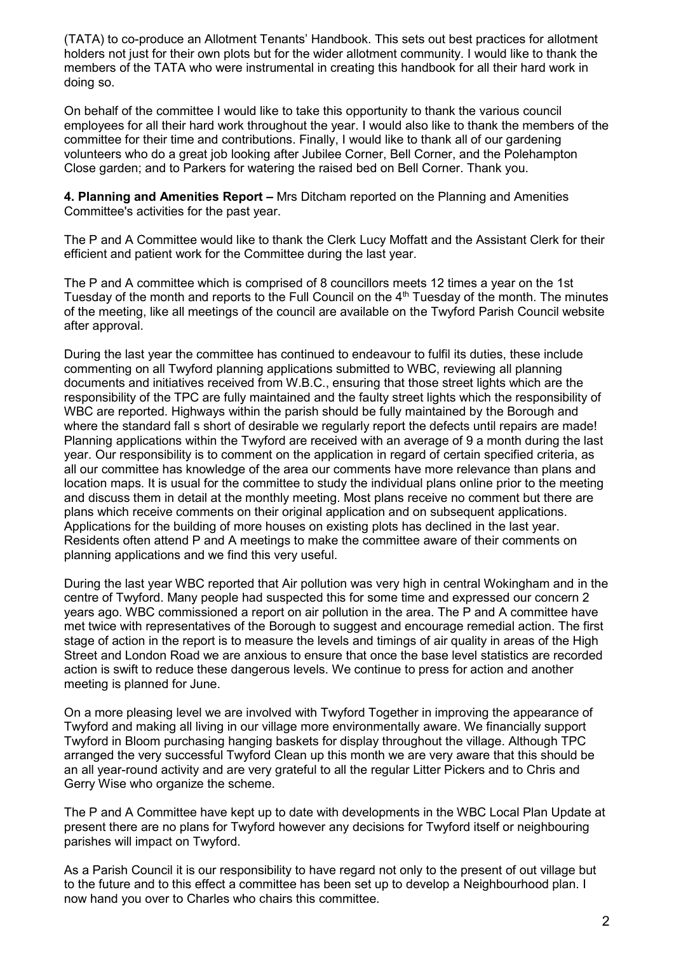(TATA) to co-produce an Allotment Tenants' Handbook. This sets out best practices for allotment holders not just for their own plots but for the wider allotment community. I would like to thank the members of the TATA who were instrumental in creating this handbook for all their hard work in doing so.

On behalf of the committee I would like to take this opportunity to thank the various council employees for all their hard work throughout the year. I would also like to thank the members of the committee for their time and contributions. Finally, I would like to thank all of our gardening volunteers who do a great job looking after Jubilee Corner, Bell Corner, and the Polehampton Close garden; and to Parkers for watering the raised bed on Bell Corner. Thank you.

**4. Planning and Amenities Report –** Mrs Ditcham reported on the Planning and Amenities Committee's activities for the past year.

The P and A Committee would like to thank the Clerk Lucy Moffatt and the Assistant Clerk for their efficient and patient work for the Committee during the last year.

The P and A committee which is comprised of 8 councillors meets 12 times a year on the 1st Tuesday of the month and reports to the Full Council on the 4th Tuesday of the month. The minutes of the meeting, like all meetings of the council are available on the Twyford Parish Council website after approval.

During the last year the committee has continued to endeavour to fulfil its duties, these include commenting on all Twyford planning applications submitted to WBC, reviewing all planning documents and initiatives received from W.B.C., ensuring that those street lights which are the responsibility of the TPC are fully maintained and the faulty street lights which the responsibility of WBC are reported. Highways within the parish should be fully maintained by the Borough and where the standard fall s short of desirable we regularly report the defects until repairs are made! Planning applications within the Twyford are received with an average of 9 a month during the last year. Our responsibility is to comment on the application in regard of certain specified criteria, as all our committee has knowledge of the area our comments have more relevance than plans and location maps. It is usual for the committee to study the individual plans online prior to the meeting and discuss them in detail at the monthly meeting. Most plans receive no comment but there are plans which receive comments on their original application and on subsequent applications. Applications for the building of more houses on existing plots has declined in the last year. Residents often attend P and A meetings to make the committee aware of their comments on planning applications and we find this very useful.

During the last year WBC reported that Air pollution was very high in central Wokingham and in the centre of Twyford. Many people had suspected this for some time and expressed our concern 2 years ago. WBC commissioned a report on air pollution in the area. The P and A committee have met twice with representatives of the Borough to suggest and encourage remedial action. The first stage of action in the report is to measure the levels and timings of air quality in areas of the High Street and London Road we are anxious to ensure that once the base level statistics are recorded action is swift to reduce these dangerous levels. We continue to press for action and another meeting is planned for June.

On a more pleasing level we are involved with Twyford Together in improving the appearance of Twyford and making all living in our village more environmentally aware. We financially support Twyford in Bloom purchasing hanging baskets for display throughout the village. Although TPC arranged the very successful Twyford Clean up this month we are very aware that this should be an all year-round activity and are very grateful to all the regular Litter Pickers and to Chris and Gerry Wise who organize the scheme.

The P and A Committee have kept up to date with developments in the WBC Local Plan Update at present there are no plans for Twyford however any decisions for Twyford itself or neighbouring parishes will impact on Twyford.

As a Parish Council it is our responsibility to have regard not only to the present of out village but to the future and to this effect a committee has been set up to develop a Neighbourhood plan. I now hand you over to Charles who chairs this committee.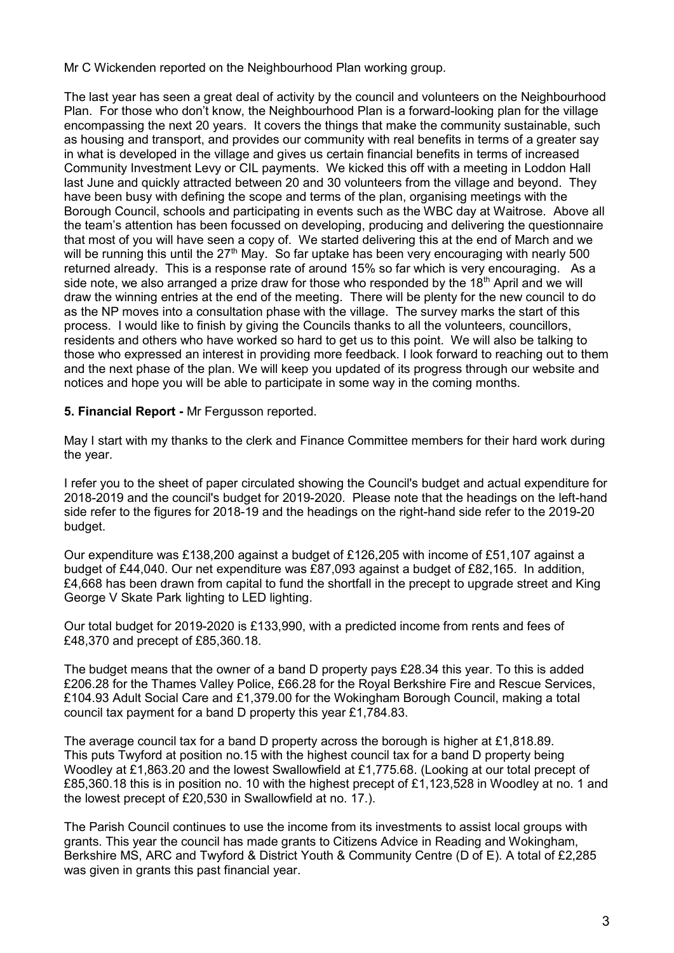Mr C Wickenden reported on the Neighbourhood Plan working group.

The last year has seen a great deal of activity by the council and volunteers on the Neighbourhood Plan. For those who don't know, the Neighbourhood Plan is a forward-looking plan for the village encompassing the next 20 years. It covers the things that make the community sustainable, such as housing and transport, and provides our community with real benefits in terms of a greater say in what is developed in the village and gives us certain financial benefits in terms of increased Community Investment Levy or CIL payments. We kicked this off with a meeting in Loddon Hall last June and quickly attracted between 20 and 30 volunteers from the village and beyond. They have been busy with defining the scope and terms of the plan, organising meetings with the Borough Council, schools and participating in events such as the WBC day at Waitrose. Above all the team's attention has been focussed on developing, producing and delivering the questionnaire that most of you will have seen a copy of. We started delivering this at the end of March and we will be running this until the 27<sup>th</sup> May. So far uptake has been very encouraging with nearly 500 returned already. This is a response rate of around 15% so far which is very encouraging. As a side note, we also arranged a prize draw for those who responded by the  $18<sup>th</sup>$  April and we will draw the winning entries at the end of the meeting. There will be plenty for the new council to do as the NP moves into a consultation phase with the village. The survey marks the start of this process. I would like to finish by giving the Councils thanks to all the volunteers, councillors, residents and others who have worked so hard to get us to this point. We will also be talking to those who expressed an interest in providing more feedback. I look forward to reaching out to them and the next phase of the plan. We will keep you updated of its progress through our website and notices and hope you will be able to participate in some way in the coming months.

### **5. Financial Report -** Mr Fergusson reported.

May I start with my thanks to the clerk and Finance Committee members for their hard work during the year.

I refer you to the sheet of paper circulated showing the Council's budget and actual expenditure for 2018-2019 and the council's budget for 2019-2020. Please note that the headings on the left-hand side refer to the figures for 2018-19 and the headings on the right-hand side refer to the 2019-20 budget.

Our expenditure was £138,200 against a budget of £126,205 with income of £51,107 against a budget of £44,040. Our net expenditure was £87,093 against a budget of £82,165. In addition, £4,668 has been drawn from capital to fund the shortfall in the precept to upgrade street and King George V Skate Park lighting to LED lighting.

Our total budget for 2019-2020 is £133,990, with a predicted income from rents and fees of £48,370 and precept of £85,360.18.

The budget means that the owner of a band D property pays £28.34 this year. To this is added £206.28 for the Thames Valley Police, £66.28 for the Royal Berkshire Fire and Rescue Services, £104.93 Adult Social Care and £1,379.00 for the Wokingham Borough Council, making a total council tax payment for a band D property this year £1,784.83.

The average council tax for a band D property across the borough is higher at £1,818.89. This puts Twyford at position no.15 with the highest council tax for a band D property being Woodley at £1,863.20 and the lowest Swallowfield at £1,775.68. (Looking at our total precept of £85,360.18 this is in position no. 10 with the highest precept of £1,123,528 in Woodley at no. 1 and the lowest precept of £20,530 in Swallowfield at no. 17.).

The Parish Council continues to use the income from its investments to assist local groups with grants. This year the council has made grants to Citizens Advice in Reading and Wokingham, Berkshire MS, ARC and Twyford & District Youth & Community Centre (D of E). A total of £2,285 was given in grants this past financial year.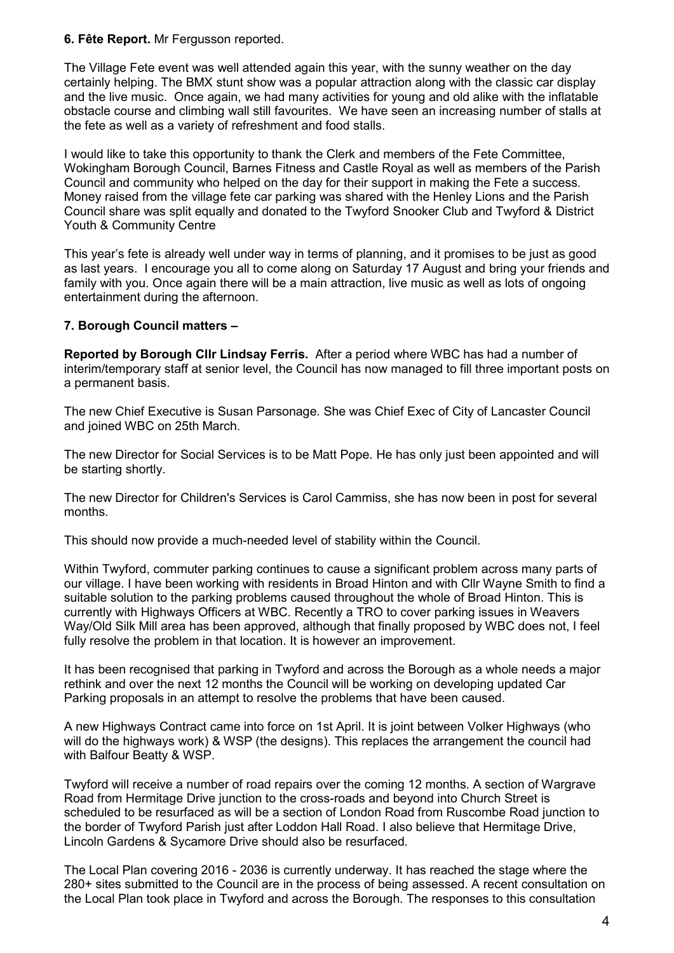#### **6. Fête Report.** Mr Fergusson reported.

The Village Fete event was well attended again this year, with the sunny weather on the day certainly helping. The BMX stunt show was a popular attraction along with the classic car display and the live music. Once again, we had many activities for young and old alike with the inflatable obstacle course and climbing wall still favourites. We have seen an increasing number of stalls at the fete as well as a variety of refreshment and food stalls.

I would like to take this opportunity to thank the Clerk and members of the Fete Committee, Wokingham Borough Council, Barnes Fitness and Castle Royal as well as members of the Parish Council and community who helped on the day for their support in making the Fete a success. Money raised from the village fete car parking was shared with the Henley Lions and the Parish Council share was split equally and donated to the Twyford Snooker Club and Twyford & District Youth & Community Centre

This year's fete is already well under way in terms of planning, and it promises to be just as good as last years. I encourage you all to come along on Saturday 17 August and bring your friends and family with you. Once again there will be a main attraction, live music as well as lots of ongoing entertainment during the afternoon.

## **7. Borough Council matters –**

**Reported by Borough Cllr Lindsay Ferris.** After a period where WBC has had a number of interim/temporary staff at senior level, the Council has now managed to fill three important posts on a permanent basis.

The new Chief Executive is Susan Parsonage. She was Chief Exec of City of Lancaster Council and joined WBC on 25th March.

The new Director for Social Services is to be Matt Pope. He has only just been appointed and will be starting shortly.

The new Director for Children's Services is Carol Cammiss, she has now been in post for several months.

This should now provide a much-needed level of stability within the Council.

Within Twyford, commuter parking continues to cause a significant problem across many parts of our village. I have been working with residents in Broad Hinton and with Cllr Wayne Smith to find a suitable solution to the parking problems caused throughout the whole of Broad Hinton. This is currently with Highways Officers at WBC. Recently a TRO to cover parking issues in Weavers Way/Old Silk Mill area has been approved, although that finally proposed by WBC does not, I feel fully resolve the problem in that location. It is however an improvement.

It has been recognised that parking in Twyford and across the Borough as a whole needs a major rethink and over the next 12 months the Council will be working on developing updated Car Parking proposals in an attempt to resolve the problems that have been caused.

A new Highways Contract came into force on 1st April. It is joint between Volker Highways (who will do the highways work) & WSP (the designs). This replaces the arrangement the council had with Balfour Beatty & WSP.

Twyford will receive a number of road repairs over the coming 12 months. A section of Wargrave Road from Hermitage Drive junction to the cross-roads and beyond into Church Street is scheduled to be resurfaced as will be a section of London Road from Ruscombe Road junction to the border of Twyford Parish just after Loddon Hall Road. I also believe that Hermitage Drive, Lincoln Gardens & Sycamore Drive should also be resurfaced.

The Local Plan covering 2016 - 2036 is currently underway. It has reached the stage where the 280+ sites submitted to the Council are in the process of being assessed. A recent consultation on the Local Plan took place in Twyford and across the Borough. The responses to this consultation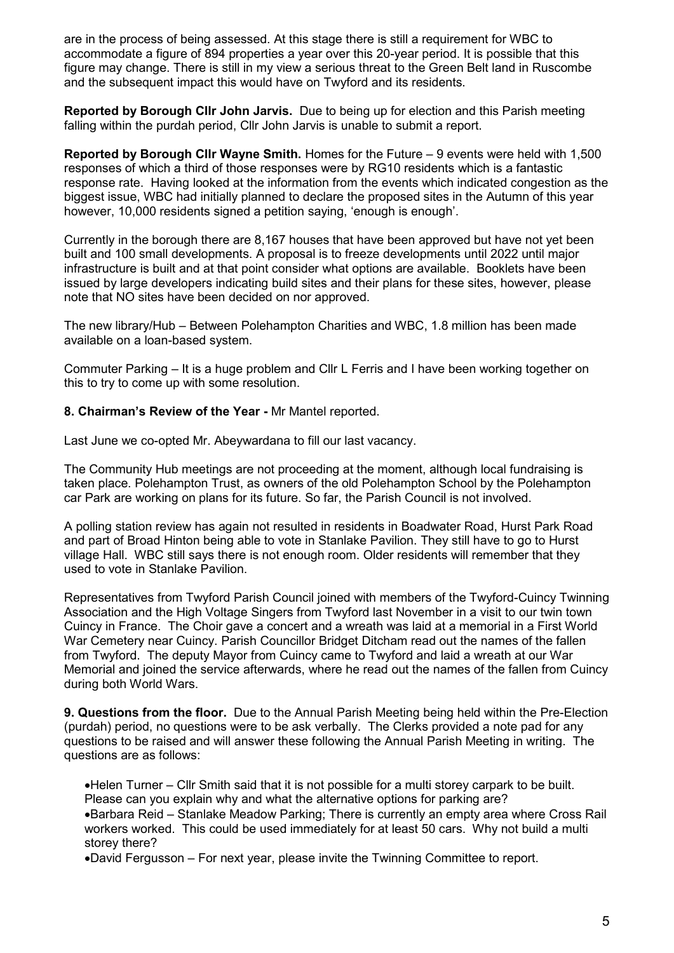are in the process of being assessed. At this stage there is still a requirement for WBC to accommodate a figure of 894 properties a year over this 20-year period. It is possible that this figure may change. There is still in my view a serious threat to the Green Belt land in Ruscombe and the subsequent impact this would have on Twyford and its residents.

**Reported by Borough Cllr John Jarvis.** Due to being up for election and this Parish meeting falling within the purdah period, Cllr John Jarvis is unable to submit a report.

**Reported by Borough Cllr Wayne Smith.** Homes for the Future – 9 events were held with 1,500 responses of which a third of those responses were by RG10 residents which is a fantastic response rate. Having looked at the information from the events which indicated congestion as the biggest issue, WBC had initially planned to declare the proposed sites in the Autumn of this year however, 10,000 residents signed a petition saying, 'enough is enough'.

Currently in the borough there are 8,167 houses that have been approved but have not yet been built and 100 small developments. A proposal is to freeze developments until 2022 until major infrastructure is built and at that point consider what options are available. Booklets have been issued by large developers indicating build sites and their plans for these sites, however, please note that NO sites have been decided on nor approved.

The new library/Hub – Between Polehampton Charities and WBC, 1.8 million has been made available on a loan-based system.

Commuter Parking – It is a huge problem and Cllr L Ferris and I have been working together on this to try to come up with some resolution.

**8. Chairman's Review of the Year -** Mr Mantel reported.

Last June we co-opted Mr. Abeywardana to fill our last vacancy.

The Community Hub meetings are not proceeding at the moment, although local fundraising is taken place. Polehampton Trust, as owners of the old Polehampton School by the Polehampton car Park are working on plans for its future. So far, the Parish Council is not involved.

A polling station review has again not resulted in residents in Boadwater Road, Hurst Park Road and part of Broad Hinton being able to vote in Stanlake Pavilion. They still have to go to Hurst village Hall. WBC still says there is not enough room. Older residents will remember that they used to vote in Stanlake Pavilion.

Representatives from Twyford Parish Council joined with members of the Twyford-Cuincy Twinning Association and the High Voltage Singers from Twyford last November in a visit to our twin town Cuincy in France. The Choir gave a concert and a wreath was laid at a memorial in a First World War Cemetery near Cuincy. Parish Councillor Bridget Ditcham read out the names of the fallen from Twyford. The deputy Mayor from Cuincy came to Twyford and laid a wreath at our War Memorial and joined the service afterwards, where he read out the names of the fallen from Cuincy during both World Wars.

**9. Questions from the floor.** Due to the Annual Parish Meeting being held within the Pre-Election (purdah) period, no questions were to be ask verbally. The Clerks provided a note pad for any questions to be raised and will answer these following the Annual Parish Meeting in writing. The questions are as follows:

•Helen Turner – Cllr Smith said that it is not possible for a multi storey carpark to be built. Please can you explain why and what the alternative options for parking are? •Barbara Reid – Stanlake Meadow Parking; There is currently an empty area where Cross Rail workers worked. This could be used immediately for at least 50 cars. Why not build a multi storey there?

•David Fergusson – For next year, please invite the Twinning Committee to report.